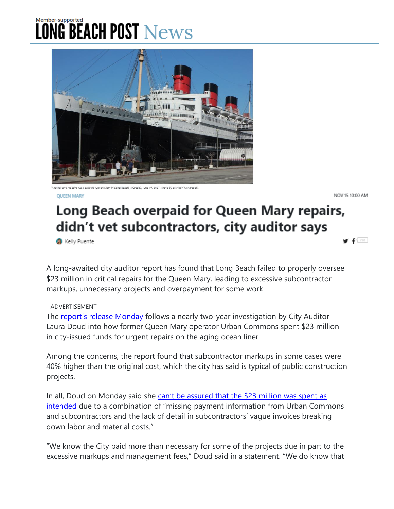## Member-supported **LONG BEACH POST News**



er and his sons walk past the Queen Mary in Long Beach, Thursday, June 10, 2021. Photo by Brandon Richardsor

**OUFFN MARY** 

NOV 15 10:00 AM

 $f^{(79)}$ 

## Long Beach overpaid for Queen Mary repairs, didn't vet subcontractors, city auditor says

**W** Kelly Puente

A long-awaited city auditor report has found that Long Beach failed to properly oversee \$23 million in critical repairs for the Queen Mary, leading to excessive subcontractor markups, unnecessary projects and overpayment for some work.

## - ADVERTISEMENT -

The [report's release Monday](https://www.cityauditorlauradoud.com/wp-content/uploads/2021/11/City-Auditors-Queen-Mary-Report.pdf) follows a nearly two-year investigation by City Auditor Laura Doud into how former Queen Mary operator Urban Commons spent \$23 million in city-issued funds for urgent repairs on the aging ocean liner.

Among the concerns, the report found that subcontractor markups in some cases were 40% higher than the original cost, which the city has said is typical of public construction projects.

In all, Doud on Monday said she [can't be assured that the \\$23](https://lbpost.com/features/queen-mary/how-long-beach-leaders-charted-a-disastrous-course-for-the-queen-mary) million was spent as [intended](https://lbpost.com/features/queen-mary/how-long-beach-leaders-charted-a-disastrous-course-for-the-queen-mary) due to a combination of "missing payment information from Urban Commons and subcontractors and the lack of detail in subcontractors' vague invoices breaking down labor and material costs."

"We know the City paid more than necessary for some of the projects due in part to the excessive markups and management fees," Doud said in a statement. "We do know that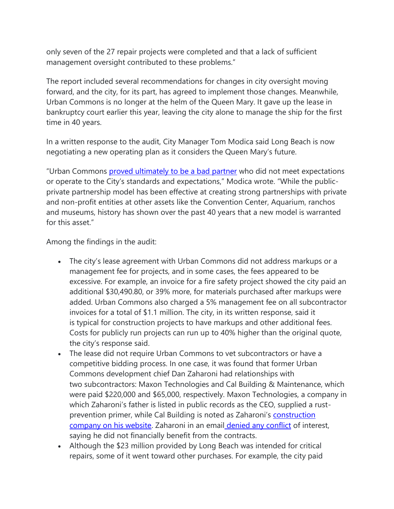only seven of the 27 repair projects were completed and that a lack of sufficient management oversight contributed to these problems."

The report included several recommendations for changes in city oversight moving forward, and the city, for its part, has agreed to implement those changes. Meanwhile, Urban Commons is no longer at the helm of the Queen Mary. It gave up the lease in bankruptcy court earlier this year, leaving the city alone to manage the ship for the first time in 40 years.

In a written response to the audit, City Manager Tom Modica said Long Beach is now negotiating a new operating plan as it considers the Queen Mary's future.

"Urban Commons [proved ultimately to be a bad partner](https://lbpost.com/features/queen-mary/a-betrayal-you-cant-even-put-into-words) who did not meet expectations or operate to the City's standards and expectations," Modica wrote. "While the publicprivate partnership model has been effective at creating strong partnerships with private and non-profit entities at other assets like the Convention Center, Aquarium, ranchos and museums, history has shown over the past 40 years that a new model is warranted for this asset."

Among the findings in the audit:

- The city's lease agreement with Urban Commons did not address markups or a management fee for projects, and in some cases, the fees appeared to be excessive. For example, an invoice for a fire safety project showed the city paid an additional \$30,490.80, or 39% more, for materials purchased after markups were added. Urban Commons also charged a 5% management fee on all subcontractor invoices for a total of \$1.1 million. The city, in its written response, said it is typical for construction projects to have markups and other additional fees. Costs for publicly run projects can run up to 40% higher than the original quote, the city's response said.
- The lease did not require Urban Commons to vet subcontractors or have a competitive bidding process. In one case, it was found that former Urban Commons development chief Dan Zaharoni had relationships with two subcontractors: Maxon Technologies and Cal Building & Maintenance, which were paid \$220,000 and \$65,000, respectively. Maxon Technologies, a company in which Zaharoni's father is listed in public records as the CEO, supplied a rustprevention primer, while Cal Building is noted as Zaharoni's [construction](https://fromtheearthinc.com/dan-zaharoni/)  [company on his website.](https://fromtheearthinc.com/dan-zaharoni/) Zaharoni in an email [denied any conflict](https://lbpost.com/features/queen-mary/how-long-beach-leaders-charted-a-disastrous-course-for-the-queen-mary) of interest, saying he did not financially benefit from the contracts.
- Although the \$23 million provided by Long Beach was intended for critical repairs, some of it went toward other purchases. For example, the city paid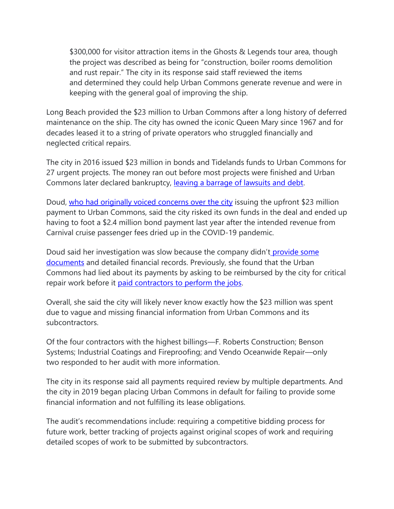\$300,000 for visitor attraction items in the Ghosts & Legends tour area, though the project was described as being for "construction, boiler rooms demolition and rust repair." The city in its response said staff reviewed the items and determined they could help Urban Commons generate revenue and were in keeping with the general goal of improving the ship.

Long Beach provided the \$23 million to Urban Commons after a long history of deferred maintenance on the ship. The city has owned the iconic Queen Mary since 1967 and for decades leased it to a string of private operators who struggled financially and neglected critical repairs.

The city in 2016 issued \$23 million in bonds and Tidelands funds to Urban Commons for 27 urgent projects. The money ran out before most projects were finished and Urban Commons later declared bankruptcy, [leaving a barrage of lawsuits and debt.](https://lbpost.com/features/queen-mary/a-betrayal-you-cant-even-put-into-words/)

Doud, [who had originally voiced concerns over the city](https://lbpost.com/features/queen-mary/how-long-beach-leaders-charted-a-disastrous-course-for-the-queen-mary) issuing the upfront \$23 million payment to Urban Commons, said the city risked its own funds in the deal and ended up having to foot a \$2.4 million bond payment last year after the intended revenue from Carnival cruise passenger fees dried up in the COVID-19 pandemic.

Doud said her investigation was slow because the company didn't provide some [documents](https://lbpost.com/news/city-auditor-says-former-queen-mary-operator-has-not-provided-financial-records-on-23m-in-city-bonds) and detailed financial records. Previously, she found that the Urban Commons had lied about its payments by asking to be reimbursed by the city for critical repair work before it [paid contractors to perform the jobs.](https://lbpost.com/news/queen-mary-audit-lied-repairs-reimbursement-urban-commons)

Overall, she said the city will likely never know exactly how the \$23 million was spent due to vague and missing financial information from Urban Commons and its subcontractors.

Of the four contractors with the highest billings—F. Roberts Construction; Benson Systems; Industrial Coatings and Fireproofing; and Vendo Oceanwide Repair—only two responded to her audit with more information.

The city in its response said all payments required review by multiple departments. And the city in 2019 began placing Urban Commons in default for failing to provide some financial information and not fulfilling its lease obligations.

The audit's recommendations include: requiring a competitive bidding process for future work, better tracking of projects against original scopes of work and requiring detailed scopes of work to be submitted by subcontractors.